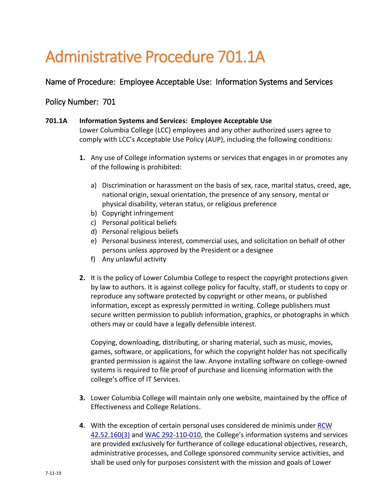## Administrative Procedure 701.1A

## Name of Procedure: Employee Acceptable Use: Information Systems and Services

## Policy Number: 701

## **701.1A Information Systems and Services: Employee Acceptable Use**

Lower Columbia College (LCC) employees and any other authorized users agree to comply with LCC's Acceptable Use Policy (AUP), including the following conditions:

- **1.** Any use of College information systems or services that engages in or promotes any of the following is prohibited:
	- a) Discrimination or harassment on the basis of sex, race, marital status, creed, age, national origin, sexual orientation, the presence of any sensory, mental or physical disability, veteran status, or religious preference
	- b) Copyright infringement
	- c) Personal political beliefs
	- d) Personal religious beliefs
	- e) Personal business interest, commercial uses, and solicitation on behalf of other persons unless approved by the President or a designee
	- f) Any unlawful activity
- **2.** It is the policy of Lower Columbia College to respect the copyright protections given by law to authors. It is against college policy for faculty, staff, or students to copy or reproduce any software protected by copyright or other means, or published information, except as expressly permitted in writing. College publishers must secure written permission to publish information, graphics, or photographs in which others may or could have a legally defensible interest.

Copying, downloading, distributing, or sharing material, such as music, movies, games, software, or applications, for which the copyright holder has not specifically granted permission is against the law. Anyone installing software on college-owned systems is required to file proof of purchase and licensing information with the college's office of IT Services.

- **3.** Lower Columbia College will maintain only one website, maintained by the office of Effectiveness and College Relations.
- **4**. With the exception of certain personal uses considered de minimis under [RCW](http://app.leg.wa.gov/RCW/default.aspx?cite=42.52.160)  [42.52.160\(3\)](http://app.leg.wa.gov/RCW/default.aspx?cite=42.52.160) and [WAC 292-110-010,](http://apps.leg.wa.gov/WAC/default.aspx?cite=292-110-010) the College's information systems and services are provided exclusively for furtherance of college educational objectives, research, administrative processes, and College sponsored community service activities, and shall be used only for purposes consistent with the mission and goals of Lower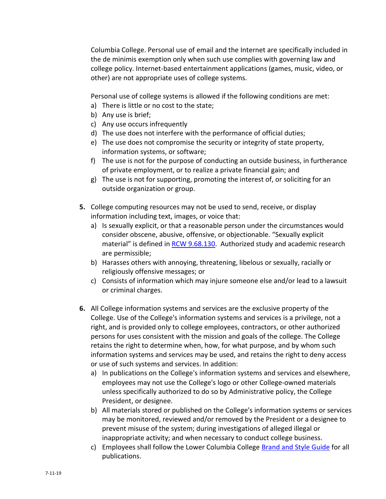Columbia College. Personal use of email and the Internet are specifically included in the de minimis exemption only when such use complies with governing law and college policy. Internet-based entertainment applications (games, music, video, or other) are not appropriate uses of college systems.

Personal use of college systems is allowed if the following conditions are met:

- a) There is little or no cost to the state;
- b) Any use is brief;
- c) Any use occurs infrequently
- d) The use does not interfere with the performance of official duties;
- e) The use does not compromise the security or integrity of state property, information systems, or software;
- f) The use is not for the purpose of conducting an outside business, in furtherance of private employment, or to realize a private financial gain; and
- g) The use is not for supporting, promoting the interest of, or soliciting for an outside organization or group.
- **5.** College computing resources may not be used to send, receive, or display information including text, images, or voice that:
	- a) Is sexually explicit, or that a reasonable person under the circumstances would consider obscene, abusive, offensive, or objectionable. "Sexually explicit material" is defined in [RCW 9.68.130.](http://apps.leg.wa.gov/RCW/default.aspx?cite=9.68.130) Authorized study and academic research are permissible;
	- b) Harasses others with annoying, threatening, libelous or sexually, racially or religiously offensive messages; or
	- c) Consists of information which may injure someone else and/or lead to a lawsuit or criminal charges.
- **6.** All College information systems and services are the exclusive property of the College. Use of the College's information systems and services is a privilege, not a right, and is provided only to college employees, contractors, or other authorized persons for uses consistent with the mission and goals of the college. The College retains the right to determine when, how, for what purpose, and by whom such information systems and services may be used, and retains the right to deny access or use of such systems and services. In addition:
	- a) In publications on the College's information systems and services and elsewhere, employees may not use the College's logo or other College-owned materials unless specifically authorized to do so by Administrative policy, the College President, or designee.
	- b) All materials stored or published on the College's information systems or services may be monitored, reviewed and/or removed by the President or a designee to prevent misuse of the system; during investigations of alleged illegal or inappropriate activity; and when necessary to conduct college business.
	- c) Employees shall follow the Lower Columbia College [Brand and Style Guide](https://lcc.ctc.edu/info/webresources/Institutional-Research/LCC_Brand_Style_Guide.pdf) for all publications.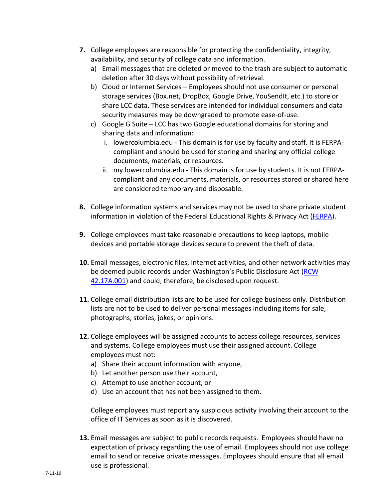- **7.** College employees are responsible for protecting the confidentiality, integrity, availability, and security of college data and information.
	- a) Email messages that are deleted or moved to the trash are subject to automatic deletion after 30 days without possibility of retrieval.
	- b) Cloud or Internet Services Employees should not use consumer or personal storage services (Box.net, DropBox, Google Drive, YouSendIt, etc.) to store or share LCC data. These services are intended for individual consumers and data security measures may be downgraded to promote ease-of-use.
	- c) Google G Suite LCC has two Google educational domains for storing and sharing data and information:
		- i. lowercolumbia.edu This domain is for use by faculty and staff. It is FERPAcompliant and should be used for storing and sharing any official college documents, materials, or resources.
		- ii. my.lowercolumbia.edu This domain is for use by students. It is not FERPAcompliant and any documents, materials, or resources stored or shared here are considered temporary and disposable.
- **8.** College information systems and services may not be used to share private student information in violation of the Federal Educational Rights & Privacy Act [\(FERPA\)](https://www2.ed.gov/policy/gen/guid/fpco/ferpa/).
- **9.** College employees must take reasonable precautions to keep laptops, mobile devices and portable storage devices secure to prevent the theft of data.
- **10.** Email messages, electronic files, Internet activities, and other network activities may be deemed public records under Washington's Public Disclosure Act (RCW) [42.17A.001\)](http://apps.leg.wa.gov/rcw/default.aspx?cite=42.17A.001) and could, therefore, be disclosed upon request.
- **11.** College email distribution lists are to be used for college business only. Distribution lists are not to be used to deliver personal messages including items for sale, photographs, stories, jokes, or opinions.
- **12.** College employees will be assigned accounts to access college resources, services and systems. College employees must use their assigned account. College employees must not:
	- a) Share their account information with anyone,
	- b) Let another person use their account,
	- c) Attempt to use another account, or
	- d) Use an account that has not been assigned to them.

College employees must report any suspicious activity involving their account to the office of IT Services as soon as it is discovered.

**13.** Email messages are subject to public records requests. Employees should have no expectation of privacy regarding the use of email. Employees should not use college email to send or receive private messages. Employees should ensure that all email use is professional.